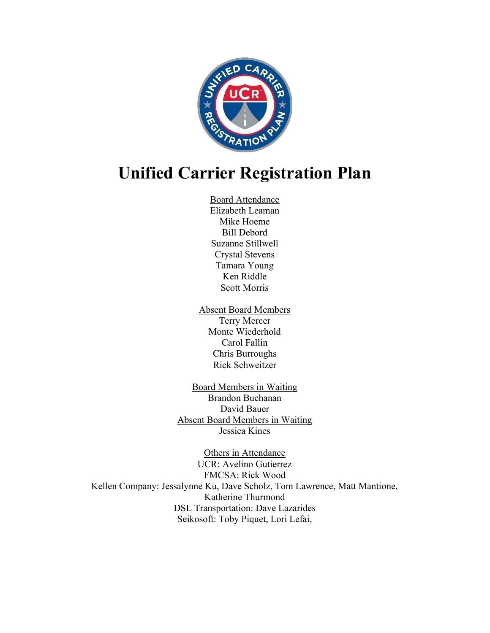

# Unified Carrier Registration Plan

- Board Attendance Elizabeth Leaman Mike Hoeme Bill Debord Suzanne Stillwell Crystal Stevens Tamara Young Ken Riddle Scott Morris
- Absent Board Members Terry Mercer Monte Wiederhold Carol Fallin Chris Burroughs Rick Schweitzer
- Board Members in Waiting Brandon Buchanan David Bauer Absent Board Members in Waiting Jessica Kines

Others in Attendance UCR: Avelino Gutierrez FMCSA: Rick Wood Kellen Company: Jessalynne Ku, Dave Scholz, Tom Lawrence, Matt Mantione, Katherine Thurmond DSL Transportation: Dave Lazarides Seikosoft: Toby Piquet, Lori Lefai,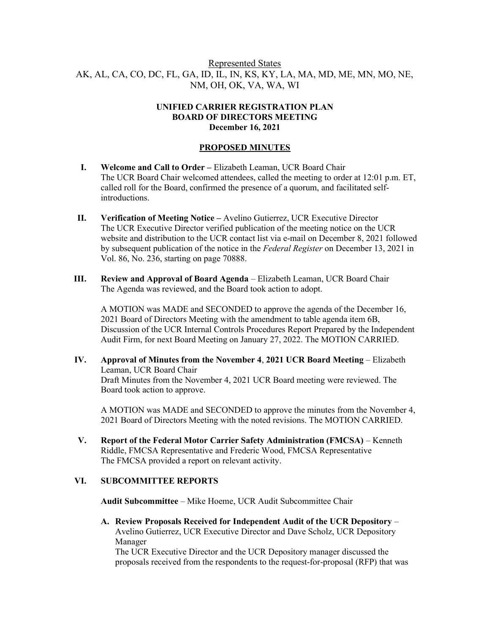# Represented States AK, AL, CA, CO, DC, FL, GA, ID, IL, IN, KS, KY, LA, MA, MD, ME, MN, MO, NE, NM, OH, OK, VA, WA, WI

## UNIFIED CARRIER REGISTRATION PLAN BOARD OF DIRECTORS MEETING December 16, 2021

# PROPOSED MINUTES

- I. Welcome and Call to Order Elizabeth Leaman, UCR Board Chair The UCR Board Chair welcomed attendees, called the meeting to order at 12:01 p.m. ET, called roll for the Board, confirmed the presence of a quorum, and facilitated selfintroductions.
- II. Verification of Meeting Notice Avelino Gutierrez, UCR Executive Director The UCR Executive Director verified publication of the meeting notice on the UCR website and distribution to the UCR contact list via e-mail on December 8, 2021 followed by subsequent publication of the notice in the Federal Register on December 13, 2021 in Vol. 86, No. 236, starting on page 70888.
- III. Review and Approval of Board Agenda Elizabeth Leaman, UCR Board Chair The Agenda was reviewed, and the Board took action to adopt.

A MOTION was MADE and SECONDED to approve the agenda of the December 16, 2021 Board of Directors Meeting with the amendment to table agenda item 6B, Discussion of the UCR Internal Controls Procedures Report Prepared by the Independent Audit Firm, for next Board Meeting on January 27, 2022. The MOTION CARRIED.

IV. Approval of Minutes from the November 4, 2021 UCR Board Meeting – Elizabeth Leaman, UCR Board Chair Draft Minutes from the November 4, 2021 UCR Board meeting were reviewed. The Board took action to approve.

A MOTION was MADE and SECONDED to approve the minutes from the November 4, 2021 Board of Directors Meeting with the noted revisions. The MOTION CARRIED.

V. Report of the Federal Motor Carrier Safety Administration (FMCSA) – Kenneth Riddle, FMCSA Representative and Frederic Wood, FMCSA Representative The FMCSA provided a report on relevant activity.

## VI. SUBCOMMITTEE REPORTS

Audit Subcommittee – Mike Hoeme, UCR Audit Subcommittee Chair

A. Review Proposals Received for Independent Audit of the UCR Depository – Avelino Gutierrez, UCR Executive Director and Dave Scholz, UCR Depository Manager

The UCR Executive Director and the UCR Depository manager discussed the proposals received from the respondents to the request-for-proposal (RFP) that was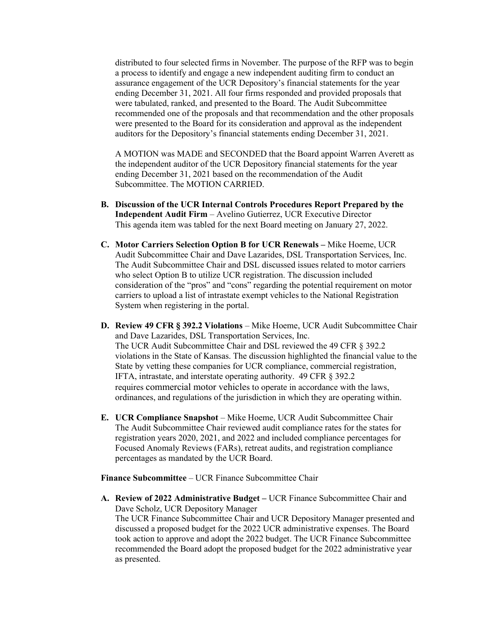distributed to four selected firms in November. The purpose of the RFP was to begin a process to identify and engage a new independent auditing firm to conduct an assurance engagement of the UCR Depository's financial statements for the year ending December 31, 2021. All four firms responded and provided proposals that were tabulated, ranked, and presented to the Board. The Audit Subcommittee recommended one of the proposals and that recommendation and the other proposals were presented to the Board for its consideration and approval as the independent auditors for the Depository's financial statements ending December 31, 2021.

A MOTION was MADE and SECONDED that the Board appoint Warren Averett as the independent auditor of the UCR Depository financial statements for the year ending December 31, 2021 based on the recommendation of the Audit Subcommittee. The MOTION CARRIED.

- B. Discussion of the UCR Internal Controls Procedures Report Prepared by the Independent Audit Firm – Avelino Gutierrez, UCR Executive Director This agenda item was tabled for the next Board meeting on January 27, 2022.
- C. Motor Carriers Selection Option B for UCR Renewals Mike Hoeme, UCR Audit Subcommittee Chair and Dave Lazarides, DSL Transportation Services, Inc. The Audit Subcommittee Chair and DSL discussed issues related to motor carriers who select Option B to utilize UCR registration. The discussion included consideration of the "pros" and "cons" regarding the potential requirement on motor carriers to upload a list of intrastate exempt vehicles to the National Registration System when registering in the portal.
- D. Review 49 CFR § 392.2 Violations Mike Hoeme, UCR Audit Subcommittee Chair and Dave Lazarides, DSL Transportation Services, Inc. The UCR Audit Subcommittee Chair and DSL reviewed the 49 CFR § 392.2 violations in the State of Kansas. The discussion highlighted the financial value to the State by vetting these companies for UCR compliance, commercial registration, IFTA, intrastate, and interstate operating authority. 49 CFR § 392.2 requires commercial motor vehicles to operate in accordance with the laws, ordinances, and regulations of the jurisdiction in which they are operating within.
- E. UCR Compliance Snapshot Mike Hoeme, UCR Audit Subcommittee Chair The Audit Subcommittee Chair reviewed audit compliance rates for the states for registration years 2020, 2021, and 2022 and included compliance percentages for Focused Anomaly Reviews (FARs), retreat audits, and registration compliance percentages as mandated by the UCR Board.

Finance Subcommittee – UCR Finance Subcommittee Chair

A. Review of 2022 Administrative Budget – UCR Finance Subcommittee Chair and Dave Scholz, UCR Depository Manager The UCR Finance Subcommittee Chair and UCR Depository Manager presented and discussed a proposed budget for the 2022 UCR administrative expenses. The Board took action to approve and adopt the 2022 budget. The UCR Finance Subcommittee recommended the Board adopt the proposed budget for the 2022 administrative year as presented.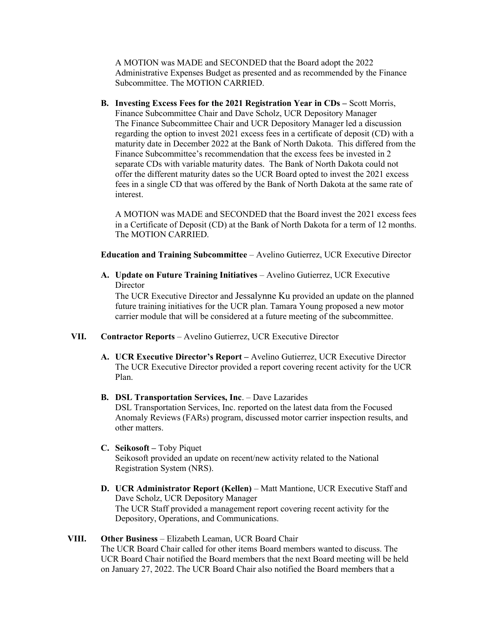A MOTION was MADE and SECONDED that the Board adopt the 2022 Administrative Expenses Budget as presented and as recommended by the Finance Subcommittee. The MOTION CARRIED.

B. Investing Excess Fees for the 2021 Registration Year in CDs – Scott Morris, Finance Subcommittee Chair and Dave Scholz, UCR Depository Manager The Finance Subcommittee Chair and UCR Depository Manager led a discussion regarding the option to invest 2021 excess fees in a certificate of deposit (CD) with a maturity date in December 2022 at the Bank of North Dakota. This differed from the Finance Subcommittee's recommendation that the excess fees be invested in 2 separate CDs with variable maturity dates. The Bank of North Dakota could not offer the different maturity dates so the UCR Board opted to invest the 2021 excess fees in a single CD that was offered by the Bank of North Dakota at the same rate of interest.

A MOTION was MADE and SECONDED that the Board invest the 2021 excess fees in a Certificate of Deposit (CD) at the Bank of North Dakota for a term of 12 months. The MOTION CARRIED.

Education and Training Subcommittee – Avelino Gutierrez, UCR Executive Director

A. Update on Future Training Initiatives – Avelino Gutierrez, UCR Executive **Director** 

The UCR Executive Director and Jessalynne Ku provided an update on the planned future training initiatives for the UCR plan. Tamara Young proposed a new motor carrier module that will be considered at a future meeting of the subcommittee.

- VII. Contractor Reports Avelino Gutierrez, UCR Executive Director
	- A. UCR Executive Director's Report Avelino Gutierrez, UCR Executive Director The UCR Executive Director provided a report covering recent activity for the UCR Plan.
	- B. DSL Transportation Services, Inc. Dave Lazarides DSL Transportation Services, Inc. reported on the latest data from the Focused Anomaly Reviews (FARs) program, discussed motor carrier inspection results, and other matters.
	- C. Seikosoft Toby Piquet Seikosoft provided an update on recent/new activity related to the National Registration System (NRS).
	- D. UCR Administrator Report (Kellen) Matt Mantione, UCR Executive Staff and Dave Scholz, UCR Depository Manager The UCR Staff provided a management report covering recent activity for the Depository, Operations, and Communications.

### VIII. Other Business – Elizabeth Leaman, UCR Board Chair The UCR Board Chair called for other items Board members wanted to discuss. The UCR Board Chair notified the Board members that the next Board meeting will be held on January 27, 2022. The UCR Board Chair also notified the Board members that a